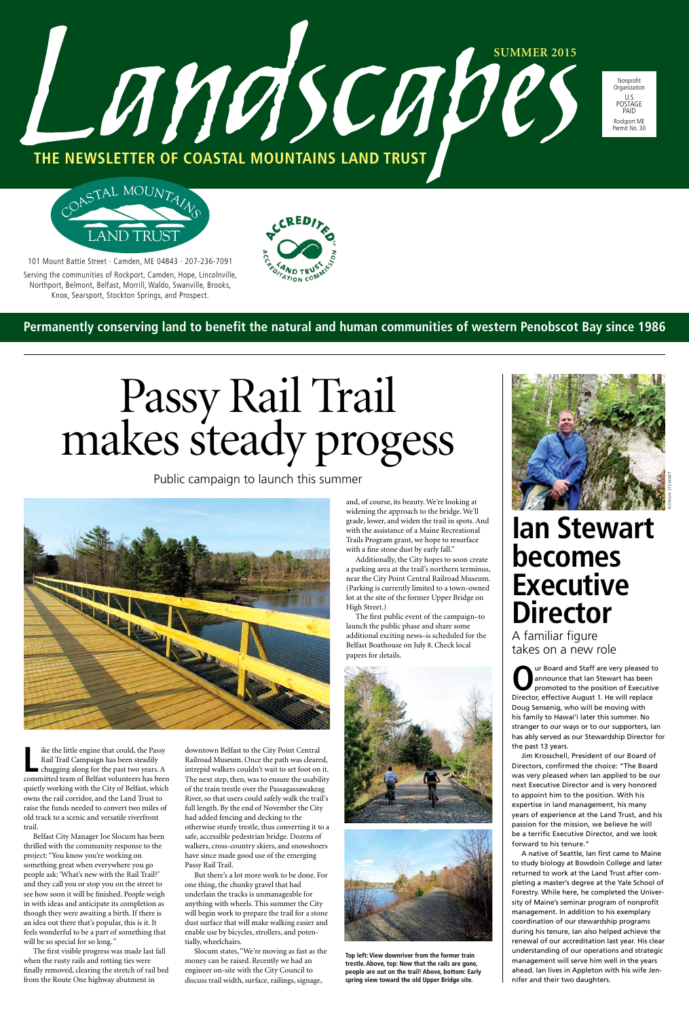101 Mount Battie Street · Camden, ME 04843 · 207-236-7091

Serving the communities of Rockport, Camden, Hope, Lincolnville, Northport, Belmont, Belfast, Morrill, Waldo, Swanville, Brooks, Knox, Searsport, Stockton Springs, and Prospect.



Landscabes

Nonprofit Organization U.S POSTAGE PAID Rockport ME Permit No. 30

**THE NEWSLETTER OF COASTAL MOUNTAINS LAND TRUST**



**Permanently conserving land to benefit the natural and human communities of western Penobscot Bay since 1986**

# Passy Rail Trail<br>makes steady progess

# **Ian Stewart becomes Executive Director**

A familiar figure takes on a new role

**O**ur Board and Staff are very pleased to<br>
promoted to the position of Executive<br>
Pirector of foctive August 1, He will replace announce that Ian Stewart has been Director, effective August 1. He will replace Doug Sensenig, who will be moving with his family to Hawai'i later this summer. No stranger to our ways or to our supporters, Ian has ably served as our Stewardship Director for the past 13 years. Jim Krosschell, President of our Board of Directors, confirmed the choice: "The Board was very pleased when Ian applied to be our next Executive Director and is very honored to appoint him to the position. With his expertise in land management, his many years of experience at the Land Trust, and his passion for the mission, we believe he will be a terrific Executive Director, and we look forward to his tenure." A native of Seattle, Ian first came to Maine to study biology at Bowdoin College and later returned to work at the Land Trust after completing a master's degree at the Yale School of Forestry. While here, he completed the University of Maine's seminar program of nonprofit management. In addition to his exemplary coordination of our stewardship programs during his tenure, Ian also helped achieve the renewal of our accreditation last year. His clear understanding of our operations and strategic management will serve him well in the years ahead. Ian lives in Appleton with his wife Jennifer and their two daughters.

like the little engine that could, the Passy<br>
Rail Trail Campaign has been steadily<br>
chugging along for the past two years. A<br>
committed team of Belfast volunteers has been ike the little engine that could, the Passy Rail Trail Campaign has been steadily chugging along for the past two years. A quietly working with the City of Belfast, which owns the rail corridor, and the Land Trust to raise the funds needed to convert two miles of old track to a scenic and versatile riverfront trail. Belfast City Manager Joe Slocum has been thrilled with the community response to the project: "You know you're working on downtown Belfast to the City Point Central Railroad Museum. Once the path was cleared, intrepid walkers couldn't wait to set foot on it. The next step, then, was to ensure the usability of the train trestle over the Passagassawakeag River, so that users could safely walk the trail's full length. By the end of November the City had added fencing and decking to the otherwise sturdy trestle, thus converting it to a safe, accessible pedestrian bridge. Dozens of walkers, cross-country skiers, and snowshoers have since made good use of the emerging Passy Rail Trail.

something great when everywhere you go people ask: 'What's new with the Rail Trail?' and they call you or stop you on the street to see how soon it will be finished. People weigh in with ideas and anticipate its completion as though they were awaiting a birth. If there is an idea out there that's popular, this is it. It feels wonderful to be a part of something that will be so special for so long.*"*

The first visible progress was made last fall when the rusty rails and rotting ties were finally removed, clearing the stretch of rail bed from the Route One highway abutment in

But there's a lot more work to be done. For one thing, the chunky gravel that had underlain the tracks is unmanageable for anything with wheels. This summer the City will begin work to prepare the trail for a stone dust surface that will make walking easier and enable use by bicycles, strollers, and potentially, wheelchairs.

Slocum states, "We're moving as fast as the money can be raised. Recently we had an engineer on-site with the City Council to discuss trail width, surface, railings, signage,



and, of course, its beauty. We're looking at widening the approach to the bridge. We'll grade, lower, and widen the trail in spots. And with the assistance of a Maine Recreational Trails Program grant, we hope to resurface with a fine stone dust by early fall."

Additionally, the City hopes to soon create a parking area at the trail's northern terminus, near the City Point Central Railroad Museum. (Parking is currently limited to a town-owned lot at the site of the former Upper Bridge on High Street.)

The first public event of the campaign–to launch the public phase and share some additional exciting news–is scheduled for the Belfast Boathouse on July 8. Check local papers for details.





Public campaign to launch this summer



**Top left: View downriver from the former train trestle. Above, top: Now that the rails are gone, people are out on the trail! Above, bottom: Early spring view toward the old Upper Bridge site.**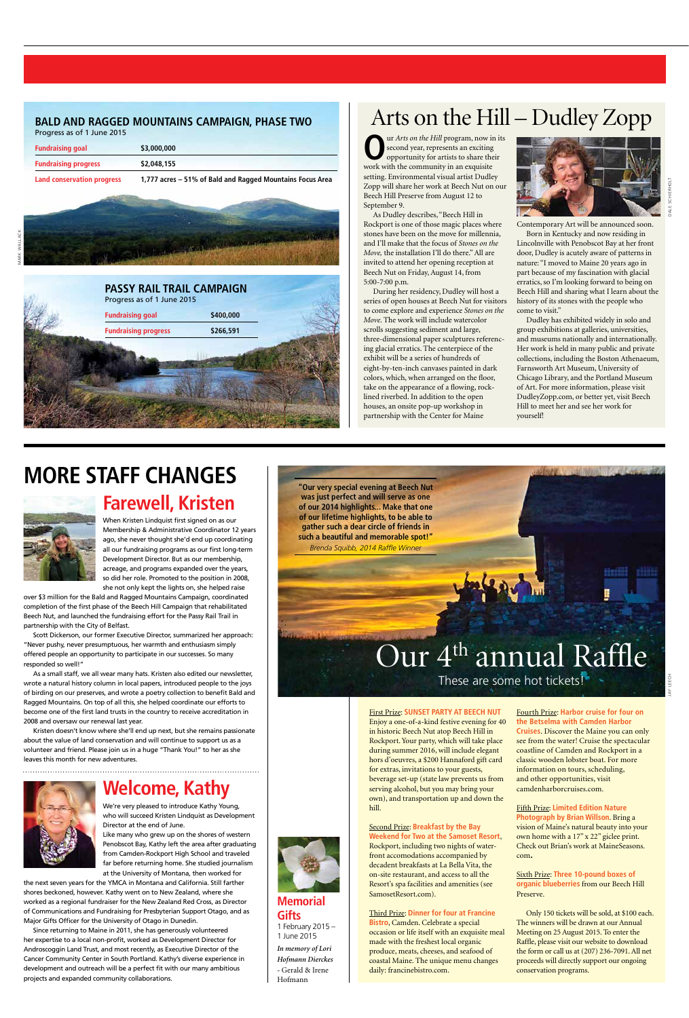**O**ur *Arts on the Hill* program, now in its second year, represents an exciting opportunity for artists to share their work with the community in an exquisite setting. Environmental visual artist Dudley Zopp will share her work at Beech Nut on our Beech Hill Preserve from August 12 to September 9.

As Dudley describes, "Beech Hill in Rockport is one of those magic places where stones have been on the move for millennia, and I'll make that the focus of *Stones on the Move,* the installation I'll do there." All are invited to attend her opening reception at Beech Nut on Friday, August 14, from 5:00-7:00 p.m.

During her residency, Dudley will host a series of open houses at Beech Nut for visitors to come explore and experience *Stones on the Move*. The work will include watercolor scrolls suggesting sediment and large, three-dimensional paper sculptures referencing glacial erratics. The centerpiece of the exhibit will be a series of hundreds of eight-by-ten-inch canvases painted in dark colors, which, when arranged on the floor, take on the appearance of a flowing, rocklined riverbed. In addition to the open houses, an onsite pop-up workshop in partnership with the Center for Maine



Contemporary Art will be announced soon.

Born in Kentucky and now residing in Lincolnville with Penobscot Bay at her front door, Dudley is acutely aware of patterns in nature: "I moved to Maine 20 years ago in part because of my fascination with glacial erratics, so I'm looking forward to being on Beech Hill and sharing what I learn about the history of its stones with the people who come to visit."

Dudley has exhibited widely in solo and group exhibitions at galleries, universities, and museums nationally and internationally. Her work is held in many public and private collections, including the Boston Athenaeum, Farnsworth Art Museum, University of Chicago Library, and the Portland Museum of Art. For more information, please visit DudleyZopp.com, or better yet, visit Beech Hill to meet her and see her work for yourself!

# Arts on the Hill – Dudley Zopp

DALE SCHIERHOLT

## **BALD AND RAGGED MOUNTAINS CAMPAIGN, PHASE TWO**

Progress as of 1 June 2015

| Land conservation progress  | \$2,048,155<br>1,777 acres - 51% of Bald and Ragged Mountains Focus Area |  |
|-----------------------------|--------------------------------------------------------------------------|--|
| <b>Fundraising progress</b> |                                                                          |  |
| <b>Fundraising goal</b>     | \$3,000,000                                                              |  |
|                             |                                                                          |  |

## **Farewell, Kristen**

When Kristen Lindquist first signed on as our Membership & Administrative Coordinator 12 years ago, she never thought she'd end up coordinating all our fundraising programs as our first long-term Development Director. But as our membership, acreage, and programs expanded over the years, so did her role. Promoted to the position in 2008, she not only kept the lights on, she helped raise

over \$3 million for the Bald and Ragged Mountains Campaign, coordinated completion of the first phase of the Beech Hill Campaign that rehabilitated Beech Nut, and launched the fundraising effort for the Passy Rail Trail in partnership with the City of Belfast.

Scott Dickerson, our former Executive Director, summarized her approach: "Never pushy, never presumptuous, her warmth and enthusiasm simply offered people an opportunity to participate in our successes. So many responded so well!"

As a small staff, we all wear many hats. Kristen also edited our newsletter, wrote a natural history column in local papers, introduced people to the joys of birding on our preserves, and wrote a poetry collection to benefit Bald and Ragged Mountains. On top of all this, she helped coordinate our efforts to become one of the first land trusts in the country to receive accreditation in 2008 and oversaw our renewal last year.

Kristen doesn't know where she'll end up next, but she remains passionate about the value of land conservation and will continue to support us as a volunteer and friend. Please join us in a huge "Thank You!" to her as she leaves this month for new adventures.

## **Welcome, Kathy**

We're very pleased to introduce Kathy Young, who will succeed Kristen Lindquist as Development Director at the end of June. Like many who grew up on the shores of western Penobscot Bay, Kathy left the area after graduating from Camden-Rockport High School and traveled

far before returning home. She studied journalism

at the University of Montana, then worked for

the next seven years for the YMCA in Montana and California. Still farther shores beckoned, however. Kathy went on to New Zealand, where she worked as a regional fundraiser for the New Zealand Red Cross, as Director of Communications and Fundraising for Presbyterian Support Otago, and as Major Gifts Officer for the University of Otago in Dunedin.

Since returning to Maine in 2011, she has generously volunteered her expertise to a local non-profit, worked as Development Director for Androscoggin Land Trust, and most recently, as Executive Director of the Cancer Community Center in South Portland. Kathy's diverse experience in development and outreach will be a perfect fit with our many ambitious projects and expanded community collaborations.



# **MORE STAFF CHANGES**





#### First Prize: **SUNSET PARTY AT BEECH NUT**  Enjoy a one-of-a-kind festive evening for 40 in historic Beech Nut atop Beech Hill in Rockport. Your party, which will take place

during summer 2016, will include elegant hors d'oeuvres, a \$200 Hannaford gift card for extras, invitations to your guests, beverage set-up (state law prevents us from serving alcohol, but you may bring your own), and transportation up and down the hill.

Second Prize: **Breakfast by the Bay Weekend for Two at the Samoset Resort**, Rockport, including two nights of waterfront accomodations accompanied by decadent breakfasts at La Bella Vita, the on-site restaurant, and access to all the Resort's spa facilities and amenities (see SamosetResort.com).

Third Prize: **Dinner for four at Francine Bistro**, Camden. Celebrate a special occasion or life itself with an exquisite meal made with the freshest local organic produce, meats, cheeses, and seafood of coastal Maine. The unique menu changes daily: francinebistro.com.

Fourth Prize: **Harbor cruise for four on the Betselma with Camden Harbor Cruises**. Discover the Maine you can only see from the water! Cruise the spectacular coastline of Camden and Rockport in a classic wooden lobster boat. For more information on tours, scheduling, and other opportunities, visit camdenharborcruises.com.

Fifth Prize: **Limited Edition Nature Photograph by Brian Willson**. Bring a vision of Maine's natural beauty into your own home with a 17" x 22" giclee print. Check out Brian's work at MaineSeasons. com.

Sixth Prize: **Three 10-pound boxes of organic blueberries** from our Beech Hill Preserve.

Only 150 tickets will be sold, at \$100 each. The winners will be drawn at our Annual Meeting on 25 August 2015. To enter the Raffle, please visit our website to download the form or call us at (207) 236-7091. All net proceeds will directly support our ongoing conservation programs.



**Memorial Gifts**  1 February 2015 – 1 June 2015 *In memory of Lori Hofmann Dierckes -* Gerald & Irene Hofmann

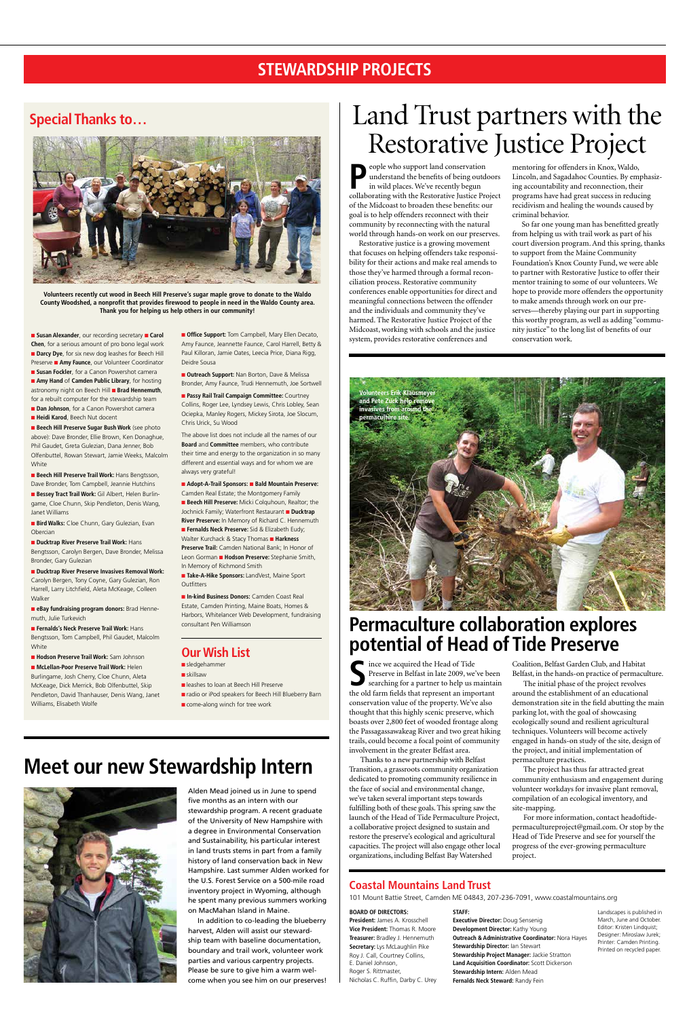n **Amy Hand** of **Camden Public Library**, for hosting astronomy night on Beech Hill **Brad Hennemuth**, for a rebuilt computer for the stewardship team **n Dan Johnson**, for a Canon Powershot camera

**Heidi Karod**, Beech Nut docent

**n Beech Hill Preserve Sugar Bush Work** (see photo above): Dave Bronder, Ellie Brown, Ken Donaghue, Phil Gaudet, Greta Gulezian, Dana Jenner, Bob Olfenbuttel, Rowan Stewart, Jamie Weeks, Malcolm **White** 

**n Beech Hill Preserve Trail Work: Hans Bengtsson,** Dave Bronder, Tom Campbell, Jeannie Hutchins

**Bessey Tract Trail Work:** Gil Albert, Helen Burlingame, Cloe Chunn, Skip Pendleton, Denis Wang, Janet Williams

**Bird Walks:** Cloe Chunn, Gary Gulezian, Evan Obercian

n **Fernalds's Neck Preserve Trail Work:** Hans Bengtsson, Tom Campbell, Phil Gaudet, Malcolm **White** 

**n** Office Support: Tom Campbell, Mary Ellen Decato, Amy Faunce, Jeannette Faunce, Carol Harrell, Betty & Paul Killoran, Jamie Oates, Leecia Price, Diana Rigg, Deidre Sousa

**n** Outreach Support: Nan Borton, Dave & Melissa Bronder, Amy Faunce, Trudi Hennemuth, Joe Sortwell

n **Ducktrap River Preserve Trail Work:** Hans Bengtsson, Carolyn Bergen, Dave Bronder, Melissa Bronder, Gary Gulezian

■ Ducktrap River Preserve Invasives Removal Work: Carolyn Bergen, Tony Coyne, Gary Gulezian, Ron Harrell, Larry Litchfield, Aleta McKeage, Colleen Walker

**n Passy Rail Trail Campaign Committee:** Courtney Collins, Roger Lee, Lyndsey Lewis, Chris Lobley, Sean Ociepka, Manley Rogers, Mickey Sirota, Joe Slocum, Chris Urick, Su Wood

■ Adopt-A-Trail Sponsors: ■ Bald Mountain Preserve: Camden Real Estate; the Montgomery Family

n **eBay fundraising program donors:** Brad Hennemuth, Julie Turkevich

**E** Beech Hill Preserve: Micki Colquhoun, Realtor: the Jochnick Family; Waterfront Restaurant **n Ducktrap River Preserve:** In Memory of Richard C. Hennemuth **Fernalds Neck Preserve:** Sid & Elizabeth Eudy: Walter Kurchack & Stacy Thomas **n Harkness Preserve Trail:** Camden National Bank; In Honor of Leon Gorman **Hodson Preserve:** Stephanie Smith, In Memory of Richmond Smith

n **Take-A-Hike Sponsors:** LandVest, Maine Sport **Outfitters** 

n **Hodson Preserve Trail Work:** Sam Johnson n **McLellan-Poor Preserve Trail Work:** Helen Burlingame, Josh Cherry, Cloe Chunn, Aleta McKeage, Dick Merrick, Bob Olfenbuttel, Skip Pendleton, David Thanhauser, Denis Wang, Janet Williams, Elisabeth Wolfe

eople who support land conservation understand the benefits of being outdoors in wild places. We've recently begun collaborating with the Restorative Justice Project of the Midcoast to broaden these benefits: our goal is to help offenders reconnect with their community by reconnecting with the natural world through hands-on work on our preserves.

The above list does not include all the names of our **Board** and **Committee** members, who contribute their time and energy to the organization in so many different and essential ways and for whom we are always very grateful!

n **In-kind Business Donors:** Camden Coast Real Estate, Camden Printing, Maine Boats, Homes & Harbors, Whitelancer Web Development, fundraising consultant Pen Williamson

## **Our Wish List**

sledgehammer

- $\blacksquare$ skillsaw
- **n** leashes to loan at Beech Hill Preserve
- n radio or iPod speakers for Beech Hill Blueberry Barn
- **n** come-along winch for tree work

Since we acquired the Head of Tide<br>Preserve in Belfast in late 2009, we's<br>searching for a partner to help us n<br>the old form fields that represent an impe Preserve in Belfast in late 2009, we've been searching for a partner to help us maintain the old farm fields that represent an important conservation value of the property. We've also thought that this highly scenic preserve, which boasts over 2,800 feet of wooded frontage along the Passagassawakeag River and two great hiking trails, could become a focal point of community

## **STEWARDSHIP PROJECTS**



Restorative justice is a growing movement that focuses on helping offenders take responsibility for their actions and make real amends to those they've harmed through a formal reconciliation process. Restorative community conferences enable opportunities for direct and meaningful connections between the offender and the individuals and community they've harmed. The Restorative Justice Project of the Midcoast, working with schools and the justice system, provides restorative conferences and

mentoring for offenders in Knox, Waldo, Lincoln, and Sagadahoc Counties. By emphasizing accountability and reconnection, their programs have had great success in reducing recidivism and healing the wounds caused by criminal behavior.

So far one young man has benefitted greatly from helping us with trail work as part of his court diversion program. And this spring, thanks to support from the Maine Community Foundation's Knox County Fund, we were able to partner with Restorative Justice to offer their mentor training to some of our volunteers. We hope to provide more offenders the opportunity to make amends through work on our preserves—thereby playing our part in supporting this worthy program, as well as adding "community justice" to the long list of benefits of our conservation work.

## **Coastal Mountains Land Trust**

101 Mount Battie Street, Camden ME 04843, 207-236-7091, www.coastalmountains.org

|  |  | BOARD OF DIRECTORS: |  |
|--|--|---------------------|--|
|--|--|---------------------|--|

**President:** James A. Krosschell **Vice President:** Thomas R. Moore **Treasurer:** Bradley J. Hennemuth **Secretary:** Lys McLaughlin Pike Roy J. Call, Courtney Collins, E. Daniel Johnson, Roger S. Rittmaster, Nicholas C. Ruffin, Darby C. Urey

**STAFF:** 

**Executive Director:** Doug Sensenig **Development Director:** Kathy Young **Outreach & Administrative Coordinator:** Nora Hayes **Stewardship Director:** Ian Stewart **Stewardship Project Manager:** Jackie Stratton **Land Acquisition Coordinator:** Scott Dickerson **Stewardship Intern:** Alden Mead **Fernalds Neck Steward:** Randy Fein

Landscapes is published in March, June and October. Editor: Kristen Lindquist; Designer: Miroslaw Jurek; Printer: Camden Printing. Printed on recycled paper.

# **Special Thanks to…** Land Trust partners with the Restorative Justice Project

involvement in the greater Belfast area.

Thanks to a new partnership with Belfast Transition, a grassroots community organization dedicated to promoting community resilience in the face of social and environmental change, we've taken several important steps towards fulfilling both of these goals. This spring saw the launch of the Head of Tide Permaculture Project, a collaborative project designed to sustain and restore the preserve's ecological and agricultural capacities. The project will also engage other local organizations, including Belfast Bay Watershed

Coalition, Belfast Garden Club, and Habitat Belfast, in the hands-on practice of permaculture.

The initial phase of the project revolves around the establishment of an educational demonstration site in the field abutting the main parking lot, with the goal of showcasing ecologically sound and resilient agricultural techniques. Volunteers will become actively engaged in hands-on study of the site, design of

the project, and initial implementation of permaculture practices.

The project has thus far attracted great community enthusiasm and engagement during volunteer workdays for invasive plant removal, compilation of an ecological inventory, and site-mapping.

For more information, contact headoftidepermacultureproject@gmail.com. Or stop by the Head of Tide Preserve and see for yourself the progress of the ever-growing permaculture project.

**Volunteers recently cut wood in Beech Hill Preserve's sugar maple grove to donate to the Waldo County Woodshed, a nonprofit that provides firewood to people in need in the Waldo County area. Thank you for helping us help others in our community!**

**n** Susan Alexander, our recording secretary **n** Carol **Chen**, for a serious amount of pro bono legal work **n** Darcy Dye, for six new dog leashes for Beech Hill **Preserve <b>E** Amy Faunce, our Volunteer Coordinator **E Susan Fockler**, for a Canon Powershot camera

# **Meet our new Stewardship Intern**



Alden Mead joined us in June to spend five months as an intern with our stewardship program. A recent graduate of the University of New Hampshire with a degree in Environmental Conservation and Sustainability, his particular interest in land trusts stems in part from a family history of land conservation back in New Hampshire. Last summer Alden worked for the U.S. Forest Service on a 500-mile road inventory project in Wyoming, although he spent many previous summers working on MacMahan Island in Maine.

In addition to co-leading the blueberry harvest, Alden will assist our stewardship team with baseline documentation, boundary and trail work, volunteer work parties and various carpentry projects. Please be sure to give him a warm welcome when you see him on our preserves!

## **Permaculture collaboration explores potential of Head of Tide Preserve**